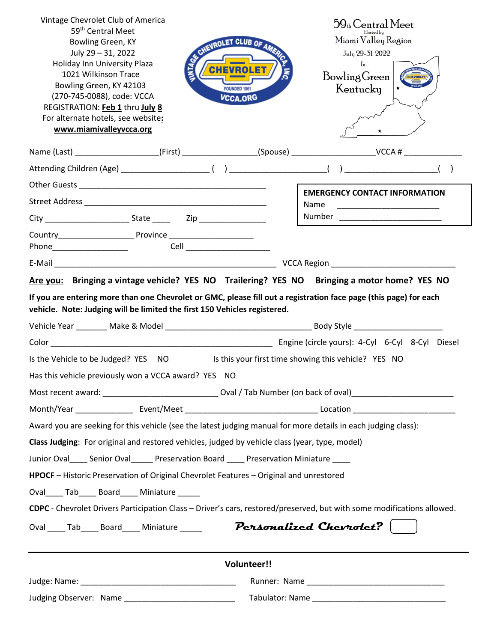| Vintage Chevrolet Club of America<br>59 <sup>th</sup> Central Meet<br>Bowling Green, KY<br>July 29 - 31, 2022<br>Holiday Inn University Plaza<br>1021 Wilkinson Trace<br>Bowling Green, KY 42103<br>(270-745-0088), code: VCCA<br>REGISTRATION: Feb 1 thru July 8<br>For alternate hotels, see website:<br>www.miamivalleyvcca.org |                                                                                                                | CHEVROLET CLUB OF AMERICA<br>FOUNDED 1961<br><b>VCCA.ORG</b> |  | $59$ <sub>th</sub> Central Meet<br>Hosted bu<br>Miami Valley Region<br>July 29-31 2022<br>$\ln$<br>Bowling Green<br>Kentucky |  |  |  |  |
|------------------------------------------------------------------------------------------------------------------------------------------------------------------------------------------------------------------------------------------------------------------------------------------------------------------------------------|----------------------------------------------------------------------------------------------------------------|--------------------------------------------------------------|--|------------------------------------------------------------------------------------------------------------------------------|--|--|--|--|
|                                                                                                                                                                                                                                                                                                                                    |                                                                                                                |                                                              |  | Name (Last) ______________________(First) __________________(Spouse) _______________________VCCA # ___________               |  |  |  |  |
|                                                                                                                                                                                                                                                                                                                                    |                                                                                                                |                                                              |  |                                                                                                                              |  |  |  |  |
|                                                                                                                                                                                                                                                                                                                                    |                                                                                                                |                                                              |  |                                                                                                                              |  |  |  |  |
|                                                                                                                                                                                                                                                                                                                                    |                                                                                                                |                                                              |  | <b>EMERGENCY CONTACT INFORMATION</b><br>Name                                                                                 |  |  |  |  |
|                                                                                                                                                                                                                                                                                                                                    |                                                                                                                |                                                              |  |                                                                                                                              |  |  |  |  |
|                                                                                                                                                                                                                                                                                                                                    |                                                                                                                |                                                              |  |                                                                                                                              |  |  |  |  |
|                                                                                                                                                                                                                                                                                                                                    |                                                                                                                |                                                              |  |                                                                                                                              |  |  |  |  |
|                                                                                                                                                                                                                                                                                                                                    |                                                                                                                |                                                              |  |                                                                                                                              |  |  |  |  |
| Has this vehicle previously won a VCCA award? YES NO                                                                                                                                                                                                                                                                               |                                                                                                                |                                                              |  | Is the Vehicle to be Judged? YES NO Is this your first time showing this vehicle? YES NO                                     |  |  |  |  |
|                                                                                                                                                                                                                                                                                                                                    | Most recent award: _________________________________Oval / Tab Number (on back of oval)_______________________ |                                                              |  |                                                                                                                              |  |  |  |  |
|                                                                                                                                                                                                                                                                                                                                    |                                                                                                                |                                                              |  |                                                                                                                              |  |  |  |  |
| Award you are seeking for this vehicle (see the latest judging manual for more details in each judging class):                                                                                                                                                                                                                     |                                                                                                                |                                                              |  |                                                                                                                              |  |  |  |  |
| Class Judging: For original and restored vehicles, judged by vehicle class (year, type, model)                                                                                                                                                                                                                                     |                                                                                                                |                                                              |  |                                                                                                                              |  |  |  |  |
| Junior Oval Senior Oval Preservation Board Preservation Miniature                                                                                                                                                                                                                                                                  |                                                                                                                |                                                              |  |                                                                                                                              |  |  |  |  |
| HPOCF - Historic Preservation of Original Chevrolet Features - Original and unrestored<br>Oval_____Tab_______Board______Miniature ______                                                                                                                                                                                           |                                                                                                                |                                                              |  |                                                                                                                              |  |  |  |  |
|                                                                                                                                                                                                                                                                                                                                    |                                                                                                                |                                                              |  | CDPC - Chevrolet Drivers Participation Class - Driver's cars, restored/preserved, but with some modifications allowed.       |  |  |  |  |
| Oval Tab Board Miniature <b>Personalized Chevrolet?</b>                                                                                                                                                                                                                                                                            |                                                                                                                |                                                              |  |                                                                                                                              |  |  |  |  |
| <b>Volunteer!!</b>                                                                                                                                                                                                                                                                                                                 |                                                                                                                |                                                              |  |                                                                                                                              |  |  |  |  |
|                                                                                                                                                                                                                                                                                                                                    |                                                                                                                |                                                              |  |                                                                                                                              |  |  |  |  |
|                                                                                                                                                                                                                                                                                                                                    | Judging Observer: Name _______________________________                                                         |                                                              |  |                                                                                                                              |  |  |  |  |